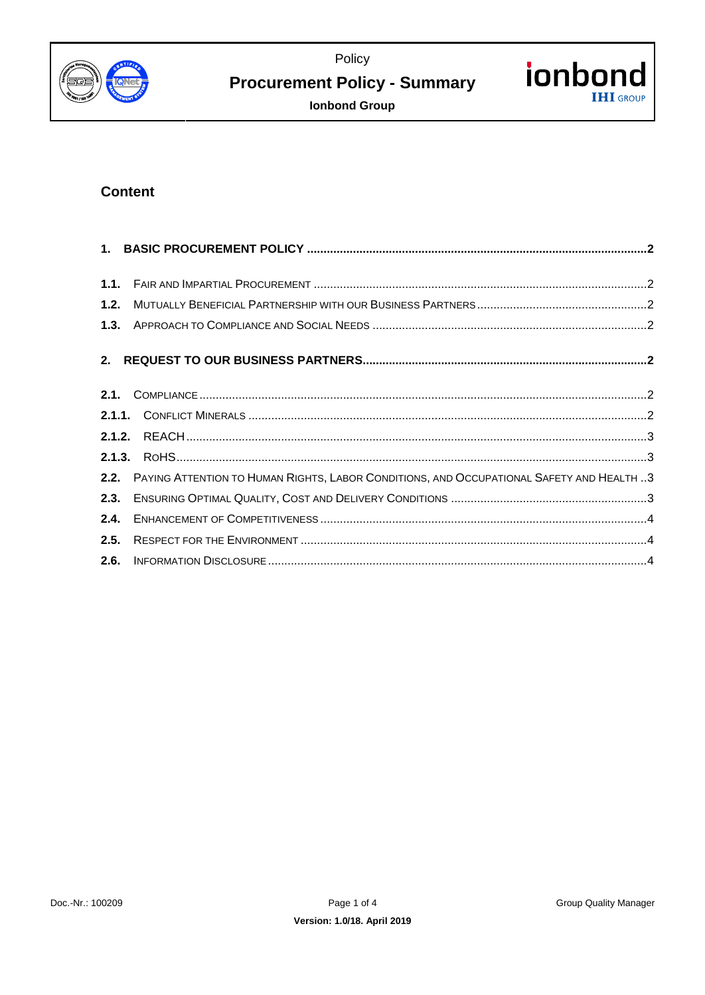Policy



# **Procurement Policy - Summary**



**Ionbond Group** 

# **Content**

| 1.1. |                                                                                               |  |
|------|-----------------------------------------------------------------------------------------------|--|
| 1.2. |                                                                                               |  |
|      |                                                                                               |  |
|      |                                                                                               |  |
|      |                                                                                               |  |
|      |                                                                                               |  |
|      |                                                                                               |  |
|      |                                                                                               |  |
|      | 2.2. PAYING ATTENTION TO HUMAN RIGHTS, LABOR CONDITIONS, AND OCCUPATIONAL SAFETY AND HEALTH 3 |  |
| 2.3. |                                                                                               |  |
| 2.4. |                                                                                               |  |
| 2.5. |                                                                                               |  |
| 2.6. |                                                                                               |  |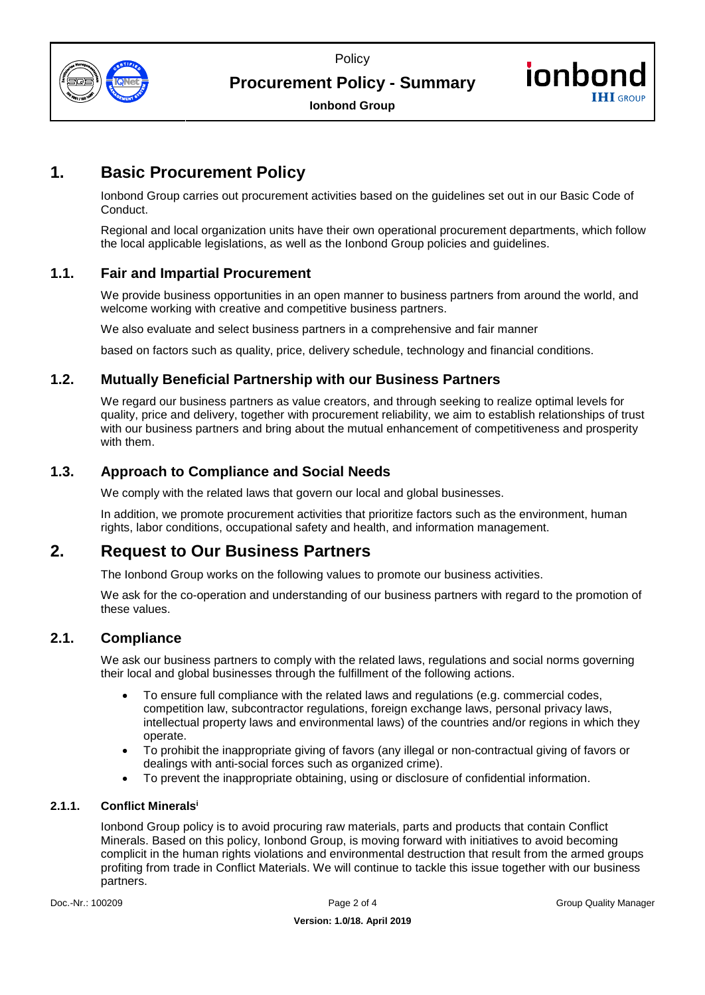



**Procurement Policy - Summary** 



**Ionbond Group** 

# <span id="page-1-0"></span>**1. Basic Procurement Policy**

Ionbond Group carries out procurement activities based on the guidelines set out in our Basic Code of Conduct.

Regional and local organization units have their own operational procurement departments, which follow the local applicable legislations, as well as the Ionbond Group policies and guidelines.

# <span id="page-1-1"></span>**1.1. Fair and Impartial Procurement**

We provide business opportunities in an open manner to business partners from around the world, and welcome working with creative and competitive business partners.

We also evaluate and select business partners in a comprehensive and fair manner

based on factors such as quality, price, delivery schedule, technology and financial conditions.

# <span id="page-1-2"></span>**1.2. Mutually Beneficial Partnership with our Business Partners**

We regard our business partners as value creators, and through seeking to realize optimal levels for quality, price and delivery, together with procurement reliability, we aim to establish relationships of trust with our business partners and bring about the mutual enhancement of competitiveness and prosperity with them.

# <span id="page-1-3"></span>**1.3. Approach to Compliance and Social Needs**

We comply with the related laws that govern our local and global businesses.

In addition, we promote procurement activities that prioritize factors such as the environment, human rights, labor conditions, occupational safety and health, and information management.

# <span id="page-1-4"></span>**2. Request to Our Business Partners**

The Ionbond Group works on the following values to promote our business activities.

We ask for the co-operation and understanding of our business partners with regard to the promotion of these values.

### <span id="page-1-5"></span>**2.1. Compliance**

We ask our business partners to comply with the related laws, regulations and social norms governing their local and global businesses through the fulfillment of the following actions.

- To ensure full compliance with the related laws and regulations (e.g. commercial codes, competition law, subcontractor regulations, foreign exchange laws, personal privacy laws, intellectual property laws and environmental laws) of the countries and/or regions in which they operate.
- To prohibit the inappropriate giving of favors (any illegal or non-contractual giving of favors or dealings with anti-social forces such as organized crime).
- <span id="page-1-7"></span>To prevent the inappropriate obtaining, using or disclosure of confidential information.

### <span id="page-1-6"></span>**2.1.1. Conflict Minerals<sup>i</sup>**

Ionbond Group policy is to avoid procuring raw materials, parts and products that contain Conflict Minerals. Based on this policy, Ionbond Group, is moving forward with initiatives to avoid becoming complicit in the human rights violations and environmental destruction that result from the armed groups profiting from trade in Conflict Materials. We will continue to tackle this issue together with our business partners.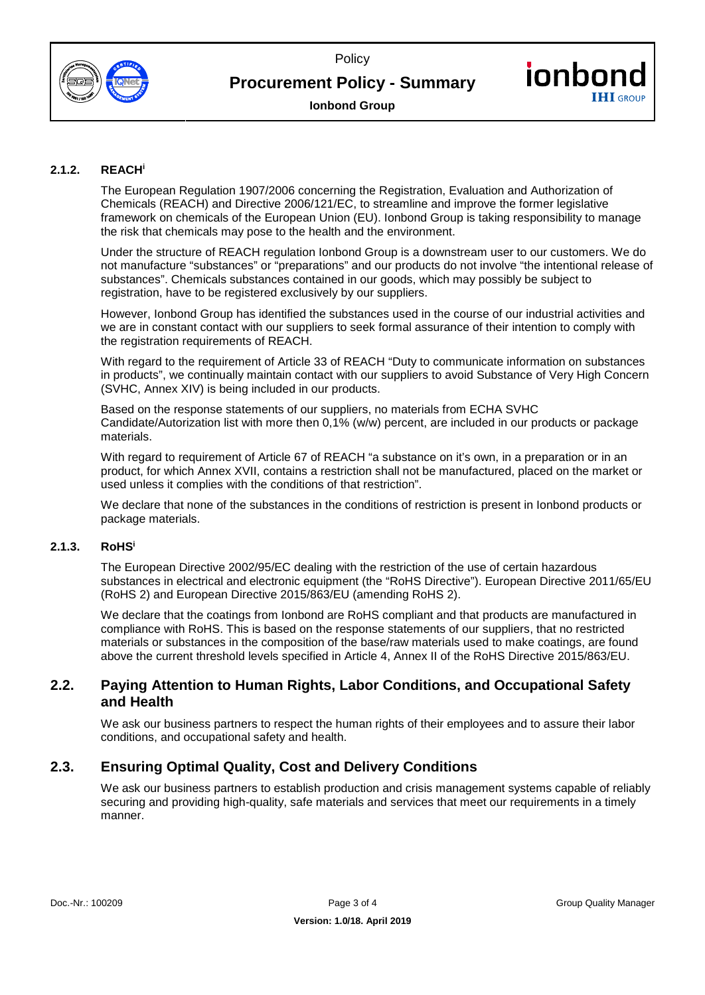



# **Procurement Policy - Summary**



**Ionbond Group** 

### <span id="page-2-0"></span>**2.1.2. REAC[H](#page-1-7)<sup>i</sup>**

The European Regulation 1907/2006 concerning the Registration, Evaluation and Authorization of Chemicals (REACH) and Directive 2006/121/EC, to streamline and improve the former legislative framework on chemicals of the European Union (EU). Ionbond Group is taking responsibility to manage the risk that chemicals may pose to the health and the environment.

Under the structure of REACH regulation Ionbond Group is a downstream user to our customers. We do not manufacture "substances" or "preparations" and our products do not involve "the intentional release of substances". Chemicals substances contained in our goods, which may possibly be subject to registration, have to be registered exclusively by our suppliers.

However, Ionbond Group has identified the substances used in the course of our industrial activities and we are in constant contact with our suppliers to seek formal assurance of their intention to comply with the registration requirements of REACH.

With regard to the requirement of Article 33 of REACH "Duty to communicate information on substances in products", we continually maintain contact with our suppliers to avoid Substance of Very High Concern (SVHC, Annex XIV) is being included in our products.

Based on the response statements of our suppliers, no materials from ECHA SVHC Candidate/Autorization list with more then 0,1% (w/w) percent, are included in our products or package materials.

With regard to requirement of Article 67 of REACH "a substance on it's own, in a preparation or in an product, for which Annex XVII, contains a restriction shall not be manufactured, placed on the market or used unless it complies with the conditions of that restriction".

We declare that none of the substances in the conditions of restriction is present in Ionbond products or package materials.

#### <span id="page-2-1"></span>**2.1.3. RoH[S](#page-1-7)<sup>i</sup>**

The European Directive 2002/95/EC dealing with the restriction of the use of certain hazardous substances in electrical and electronic equipment (the "RoHS Directive"). European Directive 2011/65/EU (RoHS 2) and European Directive 2015/863/EU (amending RoHS 2).

We declare that the coatings from Ionbond are RoHS compliant and that products are manufactured in compliance with RoHS. This is based on the response statements of our suppliers, that no restricted materials or substances in the composition of the base/raw materials used to make coatings, are found above the current threshold levels specified in Article 4, Annex II of the RoHS Directive 2015/863/EU.

### <span id="page-2-2"></span>**2.2. Paying Attention to Human Rights, Labor Conditions, and Occupational Safety and Health**

We ask our business partners to respect the human rights of their employees and to assure their labor conditions, and occupational safety and health.

# <span id="page-2-3"></span>**2.3. Ensuring Optimal Quality, Cost and Delivery Conditions**

We ask our business partners to establish production and crisis management systems capable of reliably securing and providing high-quality, safe materials and services that meet our requirements in a timely manner.